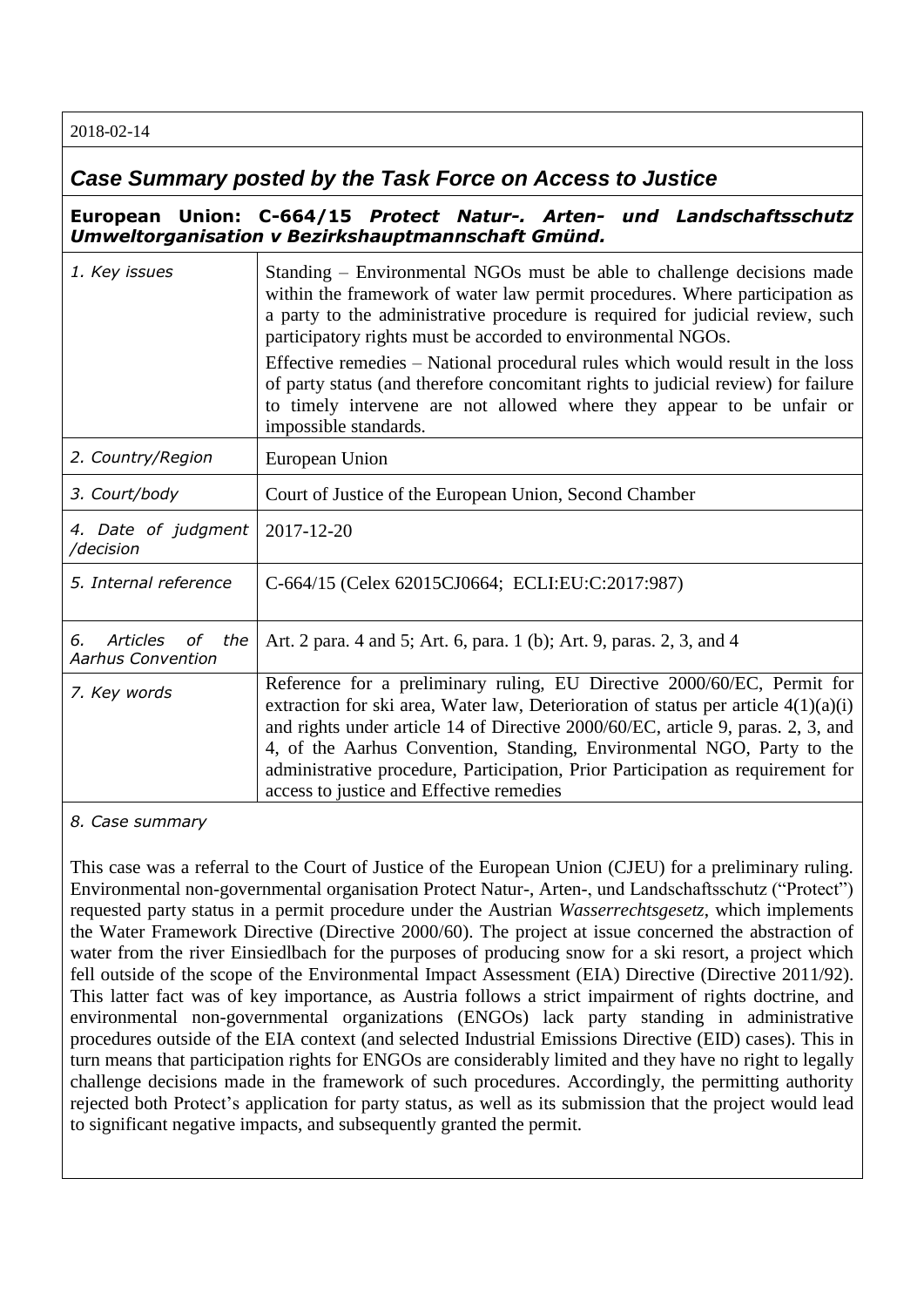2018-02-14

## *Case Summary posted by the Task Force on Access to Justice*

**European Union: C-664/15** *Protect Natur-. Arten- und Landschaftsschutz Umweltorganisation v Bezirkshauptmannschaft Gmünd.*

| 1. Key issues                                           | Standing – Environmental NGOs must be able to challenge decisions made<br>within the framework of water law permit procedures. Where participation as<br>a party to the administrative procedure is required for judicial review, such<br>participatory rights must be accorded to environmental NGOs.                                                                                                                                                       |
|---------------------------------------------------------|--------------------------------------------------------------------------------------------------------------------------------------------------------------------------------------------------------------------------------------------------------------------------------------------------------------------------------------------------------------------------------------------------------------------------------------------------------------|
|                                                         | Effective remedies – National procedural rules which would result in the loss<br>of party status (and therefore concomitant rights to judicial review) for failure<br>to timely intervene are not allowed where they appear to be unfair or<br>impossible standards.                                                                                                                                                                                         |
| 2. Country/Region                                       | European Union                                                                                                                                                                                                                                                                                                                                                                                                                                               |
| 3. Court/body                                           | Court of Justice of the European Union, Second Chamber                                                                                                                                                                                                                                                                                                                                                                                                       |
| 4. Date of judgment<br>/decision                        | 2017-12-20                                                                                                                                                                                                                                                                                                                                                                                                                                                   |
| 5. Internal reference                                   | C-664/15 (Celex 62015CJ0664; ECLI:EU:C:2017:987)                                                                                                                                                                                                                                                                                                                                                                                                             |
| Articles<br>οf<br>the<br>6.<br><b>Aarhus Convention</b> | Art. 2 para. 4 and 5; Art. 6, para. 1 (b); Art. 9, paras. 2, 3, and 4                                                                                                                                                                                                                                                                                                                                                                                        |
| 7. Key words                                            | Reference for a preliminary ruling, EU Directive 2000/60/EC, Permit for<br>extraction for ski area, Water law, Deterioration of status per article $4(1)(a)(i)$<br>and rights under article 14 of Directive 2000/60/EC, article 9, paras. 2, 3, and<br>4, of the Aarhus Convention, Standing, Environmental NGO, Party to the<br>administrative procedure, Participation, Prior Participation as requirement for<br>access to justice and Effective remedies |

*8. Case summary*

This case was a referral to the Court of Justice of the European Union (CJEU) for a preliminary ruling. Environmental non-governmental organisation Protect Natur-, Arten-, und Landschaftsschutz ("Protect") requested party status in a permit procedure under the Austrian *Wasserrechtsgesetz*, which implements the Water Framework Directive (Directive 2000/60). The project at issue concerned the abstraction of water from the river Einsiedlbach for the purposes of producing snow for a ski resort, a project which fell outside of the scope of the Environmental Impact Assessment (EIA) Directive (Directive 2011/92). This latter fact was of key importance, as Austria follows a strict impairment of rights doctrine, and environmental non-governmental organizations (ENGOs) lack party standing in administrative procedures outside of the EIA context (and selected Industrial Emissions Directive (EID) cases). This in turn means that participation rights for ENGOs are considerably limited and they have no right to legally challenge decisions made in the framework of such procedures. Accordingly, the permitting authority rejected both Protect's application for party status, as well as its submission that the project would lead to significant negative impacts, and subsequently granted the permit.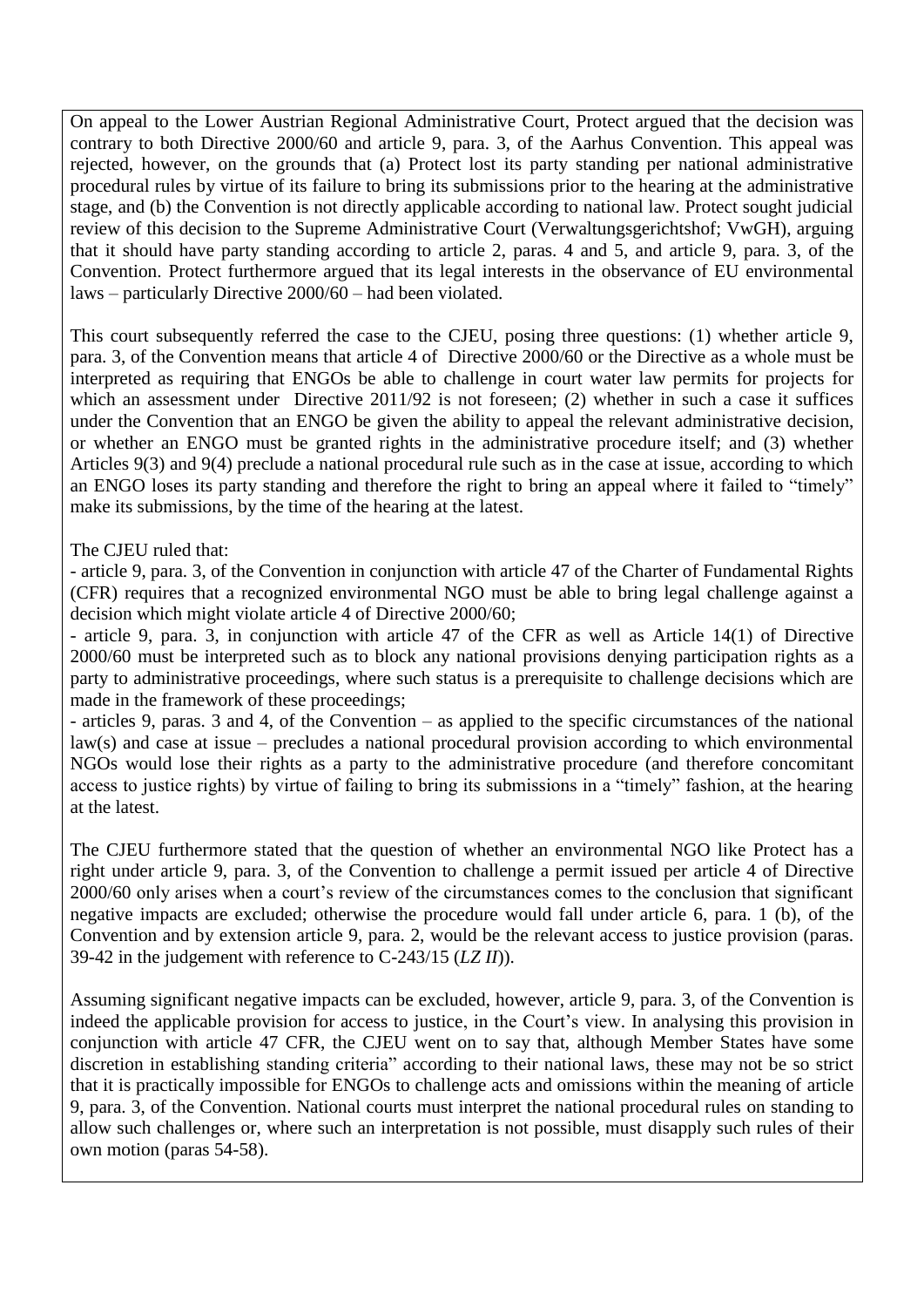On appeal to the Lower Austrian Regional Administrative Court, Protect argued that the decision was contrary to both Directive 2000/60 and article 9, para. 3, of the Aarhus Convention. This appeal was rejected, however, on the grounds that (a) Protect lost its party standing per national administrative procedural rules by virtue of its failure to bring its submissions prior to the hearing at the administrative stage, and (b) the Convention is not directly applicable according to national law. Protect sought judicial review of this decision to the Supreme Administrative Court (Verwaltungsgerichtshof; VwGH), arguing that it should have party standing according to article 2, paras. 4 and 5, and article 9, para. 3, of the Convention. Protect furthermore argued that its legal interests in the observance of EU environmental laws – particularly Directive 2000/60 – had been violated.

This court subsequently referred the case to the CJEU, posing three questions: (1) whether article 9, para. 3, of the Convention means that article 4 of Directive 2000/60 or the Directive as a whole must be interpreted as requiring that ENGOs be able to challenge in court water law permits for projects for which an assessment under Directive 2011/92 is not foreseen; (2) whether in such a case it suffices under the Convention that an ENGO be given the ability to appeal the relevant administrative decision, or whether an ENGO must be granted rights in the administrative procedure itself; and (3) whether Articles 9(3) and 9(4) preclude a national procedural rule such as in the case at issue, according to which an ENGO loses its party standing and therefore the right to bring an appeal where it failed to "timely" make its submissions, by the time of the hearing at the latest.

## The CJEU ruled that:

- article 9, para. 3, of the Convention in conjunction with article 47 of the Charter of Fundamental Rights (CFR) requires that a recognized environmental NGO must be able to bring legal challenge against a decision which might violate article 4 of Directive 2000/60;

- article 9, para. 3, in conjunction with article 47 of the CFR as well as Article 14(1) of Directive 2000/60 must be interpreted such as to block any national provisions denying participation rights as a party to administrative proceedings, where such status is a prerequisite to challenge decisions which are made in the framework of these proceedings;

- articles 9, paras. 3 and 4, of the Convention – as applied to the specific circumstances of the national law(s) and case at issue – precludes a national procedural provision according to which environmental NGOs would lose their rights as a party to the administrative procedure (and therefore concomitant access to justice rights) by virtue of failing to bring its submissions in a "timely" fashion, at the hearing at the latest.

The CJEU furthermore stated that the question of whether an environmental NGO like Protect has a right under article 9, para. 3, of the Convention to challenge a permit issued per article 4 of Directive 2000/60 only arises when a court's review of the circumstances comes to the conclusion that significant negative impacts are excluded; otherwise the procedure would fall under article 6, para. 1 (b), of the Convention and by extension article 9, para. 2, would be the relevant access to justice provision (paras. 39-42 in the judgement with reference to C-243/15 (*LZ II*)).

Assuming significant negative impacts can be excluded, however, article 9, para. 3, of the Convention is indeed the applicable provision for access to justice, in the Court's view. In analysing this provision in conjunction with article 47 CFR, the CJEU went on to say that, although Member States have some discretion in establishing standing criteria" according to their national laws, these may not be so strict that it is practically impossible for ENGOs to challenge acts and omissions within the meaning of article 9, para. 3, of the Convention. National courts must interpret the national procedural rules on standing to allow such challenges or, where such an interpretation is not possible, must disapply such rules of their own motion (paras 54-58).